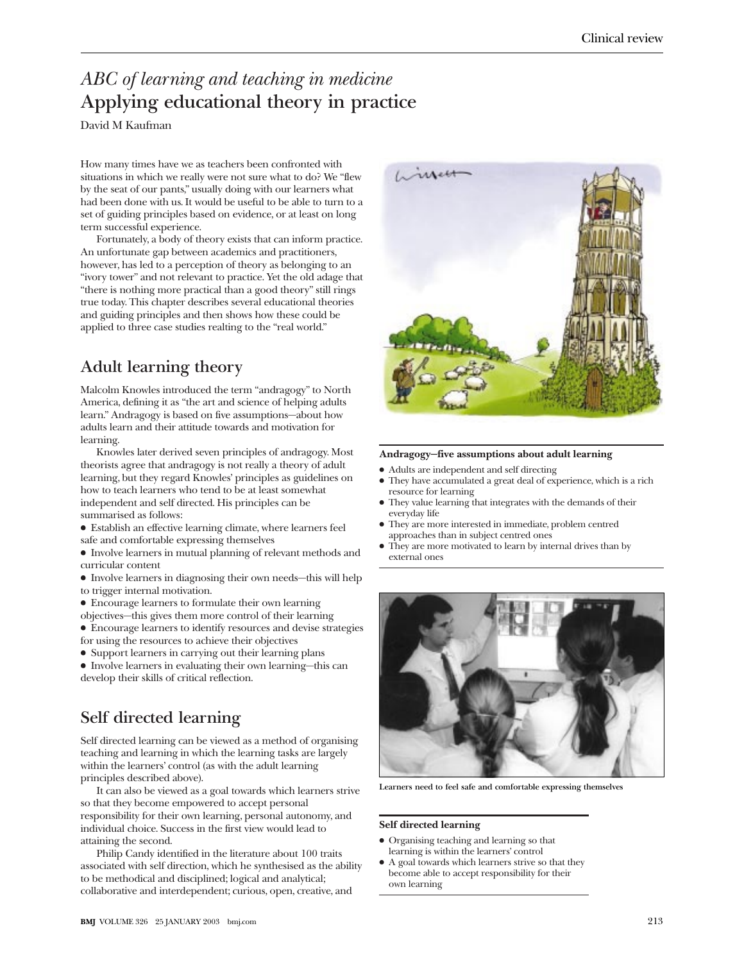# *ABC of learning and teaching in medicine* **Applying educational theory in practice**

David M Kaufman

How many times have we as teachers been confronted with situations in which we really were not sure what to do? We "flew by the seat of our pants," usually doing with our learners what had been done with us. It would be useful to be able to turn to a set of guiding principles based on evidence, or at least on long term successful experience.

Fortunately, a body of theory exists that can inform practice. An unfortunate gap between academics and practitioners, however, has led to a perception of theory as belonging to an "ivory tower" and not relevant to practice. Yet the old adage that "there is nothing more practical than a good theory" still rings true today. This chapter describes several educational theories and guiding principles and then shows how these could be applied to three case studies realting to the "real world."

# **Adult learning theory**

Malcolm Knowles introduced the term "andragogy" to North America, defining it as "the art and science of helping adults learn." Andragogy is based on five assumptions—about how adults learn and their attitude towards and motivation for learning.

Knowles later derived seven principles of andragogy. Most theorists agree that andragogy is not really a theory of adult learning, but they regard Knowles' principles as guidelines on how to teach learners who tend to be at least somewhat independent and self directed. His principles can be summarised as follows:

 $\bullet$  Establish an effective learning climate, where learners feel safe and comfortable expressing themselves

 $\bullet$  Involve learners in mutual planning of relevant methods and curricular content

x Involve learners in diagnosing their own needs—this will help to trigger internal motivation.

• Encourage learners to formulate their own learning

objectives—this gives them more control of their learning

 $\bullet$  Encourage learners to identify resources and devise strategies for using the resources to achieve their objectives

• Support learners in carrying out their learning plans

x Involve learners in evaluating their own learning—this can develop their skills of critical reflection.

# **Self directed learning**

Self directed learning can be viewed as a method of organising teaching and learning in which the learning tasks are largely within the learners' control (as with the adult learning principles described above).

It can also be viewed as a goal towards which learners strive so that they become empowered to accept personal responsibility for their own learning, personal autonomy, and individual choice. Success in the first view would lead to attaining the second.

Philip Candy identified in the literature about 100 traits associated with self direction, which he synthesised as the ability to be methodical and disciplined; logical and analytical; collaborative and interdependent; curious, open, creative, and



### **Andragogy—five assumptions about adult learning**

- $\bullet$  Adults are independent and self directing
- They have accumulated a great deal of experience, which is a rich resource for learning
- They value learning that integrates with the demands of their everyday life
- They are more interested in immediate, problem centred approaches than in subject centred ones
- They are more motivated to learn by internal drives than by external ones



**Learners need to feel safe and comfortable expressing themselves**

### **Self directed learning**

- Organising teaching and learning so that learning is within the learners' control
- $\bullet$  A goal towards which learners strive so that they become able to accept responsibility for their own learning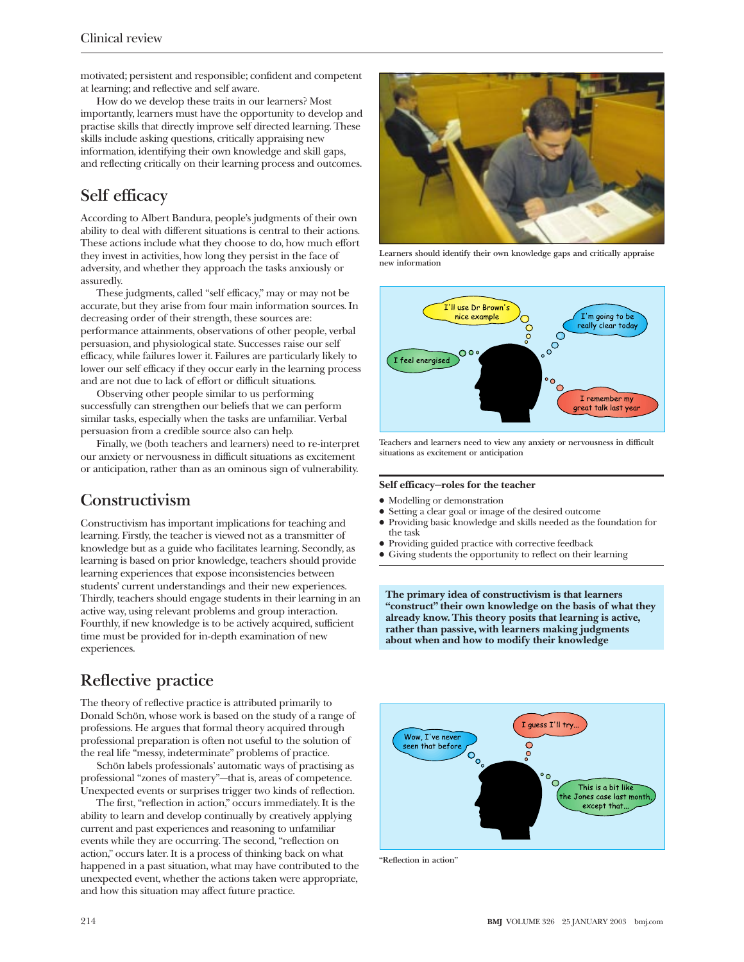motivated; persistent and responsible; confident and competent at learning; and reflective and self aware.

How do we develop these traits in our learners? Most importantly, learners must have the opportunity to develop and practise skills that directly improve self directed learning. These skills include asking questions, critically appraising new information, identifying their own knowledge and skill gaps, and reflecting critically on their learning process and outcomes.

# **Self efficacy**

According to Albert Bandura, people's judgments of their own ability to deal with different situations is central to their actions. These actions include what they choose to do, how much effort they invest in activities, how long they persist in the face of adversity, and whether they approach the tasks anxiously or assuredly.

These judgments, called "self efficacy," may or may not be accurate, but they arise from four main information sources. In decreasing order of their strength, these sources are: performance attainments, observations of other people, verbal persuasion, and physiological state. Successes raise our self efficacy, while failures lower it. Failures are particularly likely to lower our self efficacy if they occur early in the learning process and are not due to lack of effort or difficult situations.

Observing other people similar to us performing successfully can strengthen our beliefs that we can perform similar tasks, especially when the tasks are unfamiliar. Verbal persuasion from a credible source also can help.

Finally, we (both teachers and learners) need to re-interpret our anxiety or nervousness in difficult situations as excitement or anticipation, rather than as an ominous sign of vulnerability.

# **Constructivism**

Constructivism has important implications for teaching and learning. Firstly, the teacher is viewed not as a transmitter of knowledge but as a guide who facilitates learning. Secondly, as learning is based on prior knowledge, teachers should provide learning experiences that expose inconsistencies between students' current understandings and their new experiences. Thirdly, teachers should engage students in their learning in an active way, using relevant problems and group interaction. Fourthly, if new knowledge is to be actively acquired, sufficient time must be provided for in-depth examination of new experiences.

# **Reflective practice**

The theory of reflective practice is attributed primarily to Donald Schön, whose work is based on the study of a range of professions. He argues that formal theory acquired through professional preparation is often not useful to the solution of the real life "messy, indeterminate" problems of practice.

Schön labels professionals' automatic ways of practising as professional "zones of mastery"—that is, areas of competence. Unexpected events or surprises trigger two kinds of reflection.

The first, "reflection in action," occurs immediately. It is the ability to learn and develop continually by creatively applying current and past experiences and reasoning to unfamiliar events while they are occurring. The second, "reflection on action," occurs later. It is a process of thinking back on what happened in a past situation, what may have contributed to the unexpected event, whether the actions taken were appropriate, and how this situation may affect future practice.



**Learners should identify their own knowledge gaps and critically appraise new information**



**Teachers and learners need to view any anxiety or nervousness in difficult situations as excitement or anticipation**

### **Self efficacy—roles for the teacher**

- $\bullet$  Modelling or demonstration
- x Setting a clear goal or image of the desired outcome
- x Providing basic knowledge and skills needed as the foundation for the task
- $\bullet$  Providing guided practice with corrective feedback
- $\bullet$  Giving students the opportunity to reflect on their learning

**The primary idea of constructivism is that learners "construct" their own knowledge on the basis of what they already know. This theory posits that learning is active, rather than passive, with learners making judgments about when and how to modify their knowledge**



**"Reflection in action"**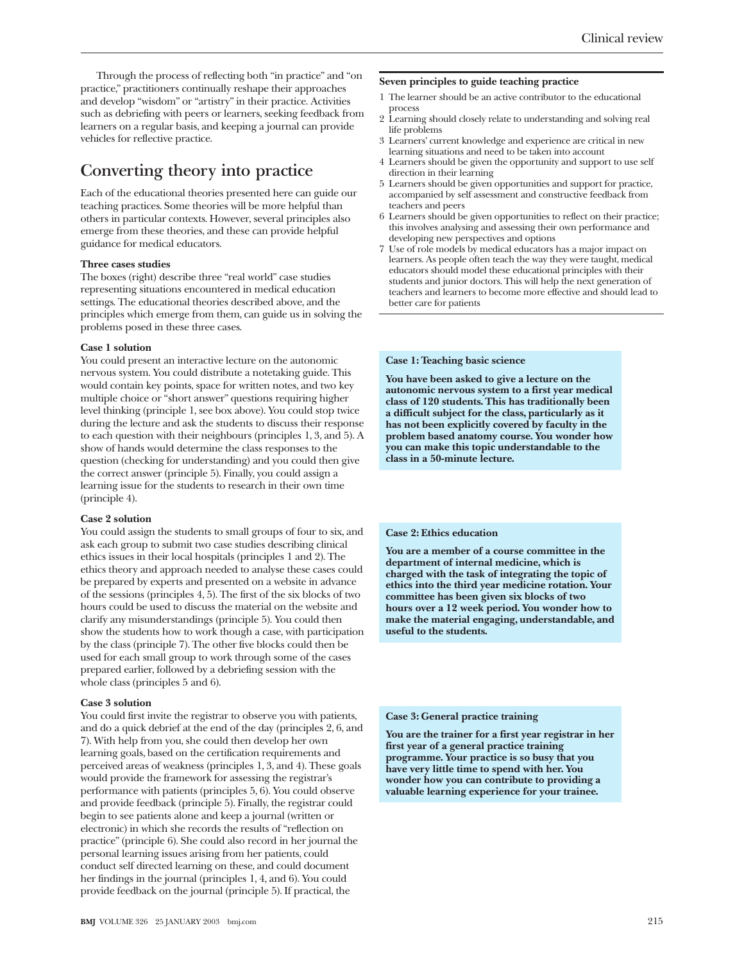Through the process of reflecting both "in practice" and "on practice," practitioners continually reshape their approaches and develop "wisdom" or "artistry" in their practice. Activities such as debriefing with peers or learners, seeking feedback from learners on a regular basis, and keeping a journal can provide vehicles for reflective practice.

# **Converting theory into practice**

Each of the educational theories presented here can guide our teaching practices. Some theories will be more helpful than others in particular contexts. However, several principles also emerge from these theories, and these can provide helpful guidance for medical educators.

#### **Three cases studies**

The boxes (right) describe three "real world" case studies representing situations encountered in medical education settings. The educational theories described above, and the principles which emerge from them, can guide us in solving the problems posed in these three cases.

#### **Case 1 solution**

You could present an interactive lecture on the autonomic nervous system. You could distribute a notetaking guide. This would contain key points, space for written notes, and two key multiple choice or "short answer" questions requiring higher level thinking (principle 1, see box above). You could stop twice during the lecture and ask the students to discuss their response to each question with their neighbours (principles 1, 3, and 5). A show of hands would determine the class responses to the question (checking for understanding) and you could then give the correct answer (principle 5). Finally, you could assign a learning issue for the students to research in their own time (principle 4).

#### **Case 2 solution**

You could assign the students to small groups of four to six, and ask each group to submit two case studies describing clinical ethics issues in their local hospitals (principles 1 and 2). The ethics theory and approach needed to analyse these cases could be prepared by experts and presented on a website in advance of the sessions (principles 4, 5). The first of the six blocks of two hours could be used to discuss the material on the website and clarify any misunderstandings (principle 5). You could then show the students how to work though a case, with participation by the class (principle 7). The other five blocks could then be used for each small group to work through some of the cases prepared earlier, followed by a debriefing session with the whole class (principles 5 and 6).

#### **Case 3 solution**

You could first invite the registrar to observe you with patients, and do a quick debrief at the end of the day (principles 2, 6, and 7). With help from you, she could then develop her own learning goals, based on the certification requirements and perceived areas of weakness (principles 1, 3, and 4). These goals would provide the framework for assessing the registrar's performance with patients (principles 5, 6). You could observe and provide feedback (principle 5). Finally, the registrar could begin to see patients alone and keep a journal (written or electronic) in which she records the results of "reflection on practice" (principle 6). She could also record in her journal the personal learning issues arising from her patients, could conduct self directed learning on these, and could document her findings in the journal (principles 1, 4, and 6). You could provide feedback on the journal (principle 5). If practical, the

### **Seven principles to guide teaching practice**

- 1 The learner should be an active contributor to the educational process
- 2 Learning should closely relate to understanding and solving real life problems
- 3 Learners' current knowledge and experience are critical in new learning situations and need to be taken into account
- 4 Learners should be given the opportunity and support to use self direction in their learning
- 5 Learners should be given opportunities and support for practice, accompanied by self assessment and constructive feedback from teachers and peers
- 6 Learners should be given opportunities to reflect on their practice; this involves analysing and assessing their own performance and developing new perspectives and options
- 7 Use of role models by medical educators has a major impact on learners. As people often teach the way they were taught, medical educators should model these educational principles with their students and junior doctors. This will help the next generation of teachers and learners to become more effective and should lead to better care for patients

#### **Case 1: Teaching basic science**

**You have been asked to give a lecture on the autonomic nervous system to a first year medical class of 120 students. This has traditionally been a difficult subject for the class, particularly as it has not been explicitly covered by faculty in the problem based anatomy course. You wonder how you can make this topic understandable to the class in a 50-minute lecture.**

### **Case 2: Ethics education**

**You are a member of a course committee in the department of internal medicine, which is charged with the task of integrating the topic of ethics into the third year medicine rotation. Your committee has been given six blocks of two hours over a 12 week period. You wonder how to make the material engaging, understandable, and useful to the students.**

#### **Case 3: General practice training**

**You are the trainer for a first year registrar in her first year of a general practice training programme. Your practice is so busy that you have very little time to spend with her. You wonder how you can contribute to providing a valuable learning experience for your trainee.**